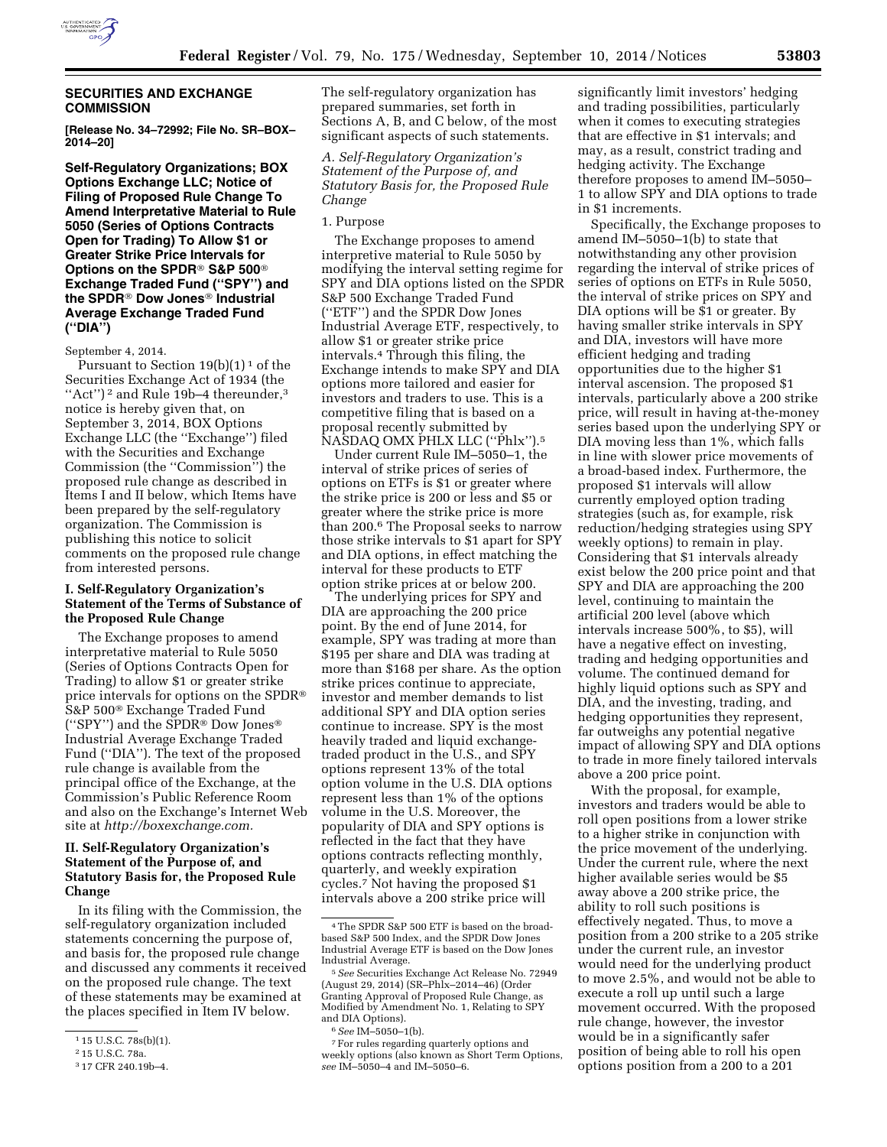

#### **SECURITIES AND EXCHANGE COMMISSION**

**[Release No. 34–72992; File No. SR–BOX– 2014–20]** 

**Self-Regulatory Organizations; BOX Options Exchange LLC; Notice of Filing of Proposed Rule Change To Amend Interpretative Material to Rule 5050 (Series of Options Contracts Open for Trading) To Allow \$1 or Greater Strike Price Intervals for Options on the SPDR**® **S&P 500**® **Exchange Traded Fund (''SPY'') and the SPDR**® **Dow Jones**® **Industrial Average Exchange Traded Fund (''DIA'')** 

#### September 4, 2014.

Pursuant to Section  $19(b)(1)^1$  of the Securities Exchange Act of 1934 (the ''Act'') 2 and Rule 19b–4 thereunder,3 notice is hereby given that, on September 3, 2014, BOX Options Exchange LLC (the ''Exchange'') filed with the Securities and Exchange Commission (the ''Commission'') the proposed rule change as described in Items I and II below, which Items have been prepared by the self-regulatory organization. The Commission is publishing this notice to solicit comments on the proposed rule change from interested persons.

### **I. Self-Regulatory Organization's Statement of the Terms of Substance of the Proposed Rule Change**

The Exchange proposes to amend interpretative material to Rule 5050 (Series of Options Contracts Open for Trading) to allow \$1 or greater strike price intervals for options on the SPDR® S&P 500® Exchange Traded Fund (''SPY'') and the SPDR® Dow Jones® Industrial Average Exchange Traded Fund (''DIA''). The text of the proposed rule change is available from the principal office of the Exchange, at the Commission's Public Reference Room and also on the Exchange's Internet Web site at *[http://boxexchange.com.](http://boxexchange.com)* 

# **II. Self-Regulatory Organization's Statement of the Purpose of, and Statutory Basis for, the Proposed Rule Change**

In its filing with the Commission, the self-regulatory organization included statements concerning the purpose of, and basis for, the proposed rule change and discussed any comments it received on the proposed rule change. The text of these statements may be examined at the places specified in Item IV below.

The self-regulatory organization has prepared summaries, set forth in Sections A, B, and C below, of the most significant aspects of such statements.

*A. Self-Regulatory Organization's Statement of the Purpose of, and Statutory Basis for, the Proposed Rule Change* 

#### 1. Purpose

The Exchange proposes to amend interpretive material to Rule 5050 by modifying the interval setting regime for SPY and DIA options listed on the SPDR S&P 500 Exchange Traded Fund (''ETF'') and the SPDR Dow Jones Industrial Average ETF, respectively, to allow \$1 or greater strike price intervals.4 Through this filing, the Exchange intends to make SPY and DIA options more tailored and easier for investors and traders to use. This is a competitive filing that is based on a proposal recently submitted by NASDAQ OMX PHLX LLC (''Phlx'').5

Under current Rule IM–5050–1, the interval of strike prices of series of options on ETFs is \$1 or greater where the strike price is 200 or less and \$5 or greater where the strike price is more than 200.6 The Proposal seeks to narrow those strike intervals to \$1 apart for SPY and DIA options, in effect matching the interval for these products to ETF option strike prices at or below 200.

The underlying prices for SPY and DIA are approaching the 200 price point. By the end of June 2014, for example, SPY was trading at more than \$195 per share and DIA was trading at more than \$168 per share. As the option strike prices continue to appreciate, investor and member demands to list additional SPY and DIA option series continue to increase. SPY is the most heavily traded and liquid exchangetraded product in the U.S., and SPY options represent 13% of the total option volume in the U.S. DIA options represent less than 1% of the options volume in the U.S. Moreover, the popularity of DIA and SPY options is reflected in the fact that they have options contracts reflecting monthly, quarterly, and weekly expiration cycles.7 Not having the proposed \$1 intervals above a 200 strike price will

significantly limit investors' hedging and trading possibilities, particularly when it comes to executing strategies that are effective in \$1 intervals; and may, as a result, constrict trading and hedging activity. The Exchange therefore proposes to amend IM–5050– 1 to allow SPY and DIA options to trade in \$1 increments.

Specifically, the Exchange proposes to amend IM–5050–1(b) to state that notwithstanding any other provision regarding the interval of strike prices of series of options on ETFs in Rule 5050, the interval of strike prices on SPY and DIA options will be \$1 or greater. By having smaller strike intervals in SPY and DIA, investors will have more efficient hedging and trading opportunities due to the higher \$1 interval ascension. The proposed \$1 intervals, particularly above a 200 strike price, will result in having at-the-money series based upon the underlying SPY or DIA moving less than 1%, which falls in line with slower price movements of a broad-based index. Furthermore, the proposed \$1 intervals will allow currently employed option trading strategies (such as, for example, risk reduction/hedging strategies using SPY weekly options) to remain in play. Considering that \$1 intervals already exist below the 200 price point and that SPY and DIA are approaching the 200 level, continuing to maintain the artificial 200 level (above which intervals increase 500%, to \$5), will have a negative effect on investing, trading and hedging opportunities and volume. The continued demand for highly liquid options such as SPY and DIA, and the investing, trading, and hedging opportunities they represent, far outweighs any potential negative impact of allowing SPY and DIA options to trade in more finely tailored intervals above a 200 price point.

With the proposal, for example, investors and traders would be able to roll open positions from a lower strike to a higher strike in conjunction with the price movement of the underlying. Under the current rule, where the next higher available series would be \$5 away above a 200 strike price, the ability to roll such positions is effectively negated. Thus, to move a position from a 200 strike to a 205 strike under the current rule, an investor would need for the underlying product to move 2.5%, and would not be able to execute a roll up until such a large movement occurred. With the proposed rule change, however, the investor would be in a significantly safer position of being able to roll his open options position from a 200 to a 201

<sup>1</sup> 15 U.S.C. 78s(b)(1).

<sup>2</sup> 15 U.S.C. 78a.

<sup>3</sup> 17 CFR 240.19b–4.

<sup>4</sup>The SPDR S&P 500 ETF is based on the broadbased S&P 500 Index, and the SPDR Dow Jones Industrial Average ETF is based on the Dow Jones

Industrial Average. 5*See* Securities Exchange Act Release No. 72949 (August 29, 2014) (SR–Phlx–2014–46) (Order Granting Approval of Proposed Rule Change, as Modified by Amendment No. 1, Relating to SPY and DIA Options). 6*See* IM–5050–1(b). 7For rules regarding quarterly options and

weekly options (also known as Short Term Options, *see* IM–5050–4 and IM–5050–6.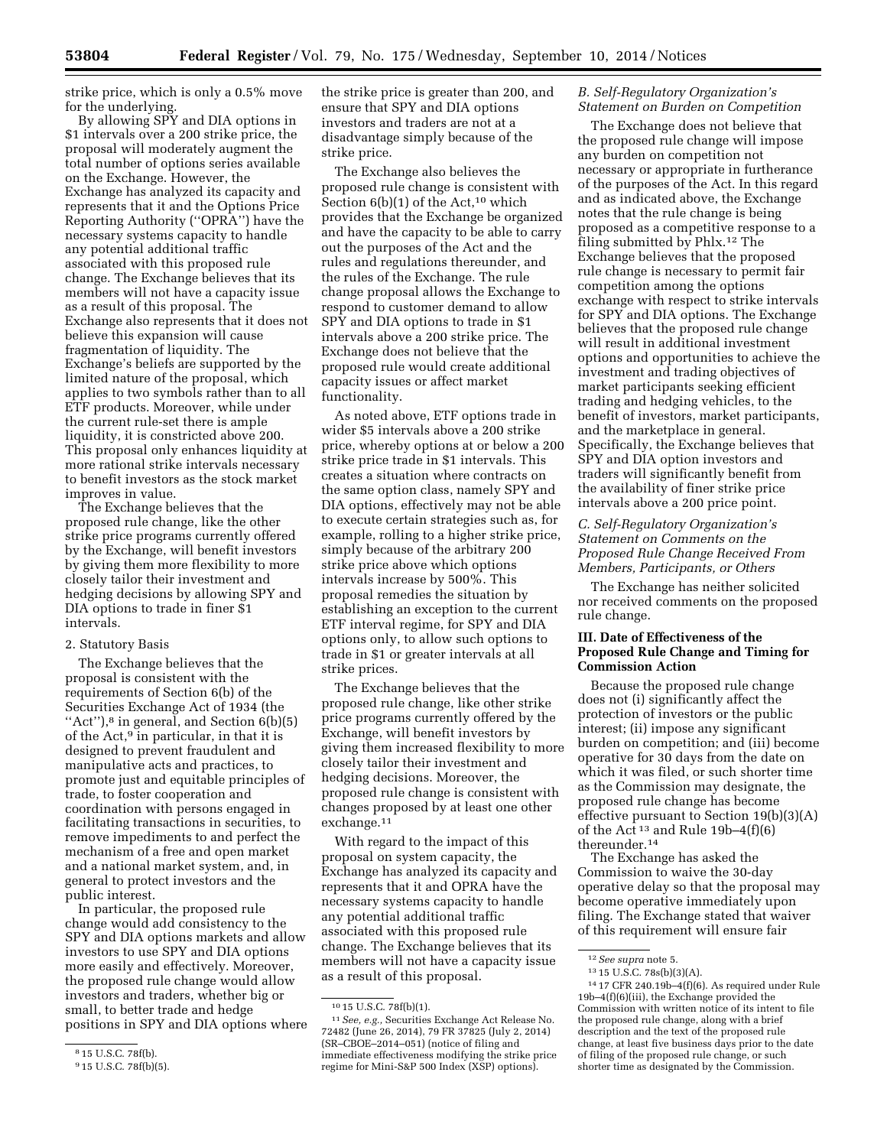strike price, which is only a 0.5% move for the underlying.

By allowing SPY and DIA options in \$1 intervals over a 200 strike price, the proposal will moderately augment the total number of options series available on the Exchange. However, the Exchange has analyzed its capacity and represents that it and the Options Price Reporting Authority (''OPRA'') have the necessary systems capacity to handle any potential additional traffic associated with this proposed rule change. The Exchange believes that its members will not have a capacity issue as a result of this proposal. The Exchange also represents that it does not believe this expansion will cause fragmentation of liquidity. The Exchange's beliefs are supported by the limited nature of the proposal, which applies to two symbols rather than to all ETF products. Moreover, while under the current rule-set there is ample liquidity, it is constricted above 200. This proposal only enhances liquidity at more rational strike intervals necessary to benefit investors as the stock market improves in value.

The Exchange believes that the proposed rule change, like the other strike price programs currently offered by the Exchange, will benefit investors by giving them more flexibility to more closely tailor their investment and hedging decisions by allowing SPY and DIA options to trade in finer \$1 intervals.

#### 2. Statutory Basis

The Exchange believes that the proposal is consistent with the requirements of Section 6(b) of the Securities Exchange Act of 1934 (the "Act"),<sup>8</sup> in general, and Section 6(b)(5) of the Act,9 in particular, in that it is designed to prevent fraudulent and manipulative acts and practices, to promote just and equitable principles of trade, to foster cooperation and coordination with persons engaged in facilitating transactions in securities, to remove impediments to and perfect the mechanism of a free and open market and a national market system, and, in general to protect investors and the public interest.

In particular, the proposed rule change would add consistency to the SPY and DIA options markets and allow investors to use SPY and DIA options more easily and effectively. Moreover, the proposed rule change would allow investors and traders, whether big or small, to better trade and hedge positions in SPY and DIA options where the strike price is greater than 200, and ensure that SPY and DIA options investors and traders are not at a disadvantage simply because of the strike price.

The Exchange also believes the proposed rule change is consistent with Section  $6(b)(1)$  of the Act,<sup>10</sup> which provides that the Exchange be organized and have the capacity to be able to carry out the purposes of the Act and the rules and regulations thereunder, and the rules of the Exchange. The rule change proposal allows the Exchange to respond to customer demand to allow SPY and DIA options to trade in \$1 intervals above a 200 strike price. The Exchange does not believe that the proposed rule would create additional capacity issues or affect market functionality.

As noted above, ETF options trade in wider \$5 intervals above a 200 strike price, whereby options at or below a 200 strike price trade in \$1 intervals. This creates a situation where contracts on the same option class, namely SPY and DIA options, effectively may not be able to execute certain strategies such as, for example, rolling to a higher strike price, simply because of the arbitrary 200 strike price above which options intervals increase by 500%. This proposal remedies the situation by establishing an exception to the current ETF interval regime, for SPY and DIA options only, to allow such options to trade in \$1 or greater intervals at all strike prices.

The Exchange believes that the proposed rule change, like other strike price programs currently offered by the Exchange, will benefit investors by giving them increased flexibility to more closely tailor their investment and hedging decisions. Moreover, the proposed rule change is consistent with changes proposed by at least one other exchange.11

With regard to the impact of this proposal on system capacity, the Exchange has analyzed its capacity and represents that it and OPRA have the necessary systems capacity to handle any potential additional traffic associated with this proposed rule change. The Exchange believes that its members will not have a capacity issue as a result of this proposal.

#### *B. Self-Regulatory Organization's Statement on Burden on Competition*

The Exchange does not believe that the proposed rule change will impose any burden on competition not necessary or appropriate in furtherance of the purposes of the Act. In this regard and as indicated above, the Exchange notes that the rule change is being proposed as a competitive response to a filing submitted by Phlx.12 The Exchange believes that the proposed rule change is necessary to permit fair competition among the options exchange with respect to strike intervals for SPY and DIA options. The Exchange believes that the proposed rule change will result in additional investment options and opportunities to achieve the investment and trading objectives of market participants seeking efficient trading and hedging vehicles, to the benefit of investors, market participants, and the marketplace in general. Specifically, the Exchange believes that SPY and DIA option investors and traders will significantly benefit from the availability of finer strike price intervals above a 200 price point.

# *C. Self-Regulatory Organization's Statement on Comments on the Proposed Rule Change Received From Members, Participants, or Others*

The Exchange has neither solicited nor received comments on the proposed rule change.

## **III. Date of Effectiveness of the Proposed Rule Change and Timing for Commission Action**

Because the proposed rule change does not (i) significantly affect the protection of investors or the public interest; (ii) impose any significant burden on competition; and (iii) become operative for 30 days from the date on which it was filed, or such shorter time as the Commission may designate, the proposed rule change has become effective pursuant to Section 19(b)(3)(A) of the Act<sup>13</sup> and Rule  $19b-4(f)(6)$ thereunder.14

The Exchange has asked the Commission to waive the 30-day operative delay so that the proposal may become operative immediately upon filing. The Exchange stated that waiver of this requirement will ensure fair

<sup>8</sup> 15 U.S.C. 78f(b).

<sup>9</sup> 15 U.S.C. 78f(b)(5).

 $^{10}\,15$  U.S.C. 78f(b)(1).

<sup>11</sup>*See, e.g.,* Securities Exchange Act Release No. 72482 (June 26, 2014), 79 FR 37825 (July 2, 2014) (SR–CBOE–2014–051) (notice of filing and immediate effectiveness modifying the strike price regime for Mini-S&P 500 Index (XSP) options).

<sup>12</sup>*See supra* note 5.

<sup>13</sup> 15 U.S.C. 78s(b)(3)(A).

<sup>14</sup> 17 CFR 240.19b–4(f)(6). As required under Rule 19b–4(f)(6)(iii), the Exchange provided the Commission with written notice of its intent to file the proposed rule change, along with a brief description and the text of the proposed rule change, at least five business days prior to the date of filing of the proposed rule change, or such shorter time as designated by the Commission.